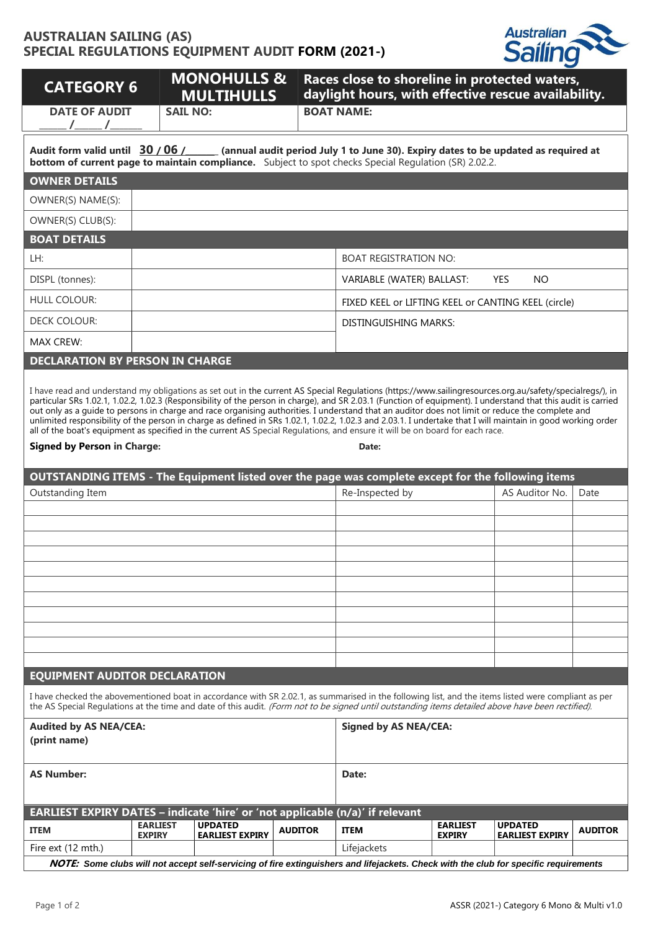## **AUSTRALIAN SAILING (AS) SPECIAL REGULATIONS EQUIPMENT AUDIT FORM (2021-)**



| <b>CATEGORY 6</b>                                                                                                                                                                                                                                                                                                                                                                                                                                                                       |                                  | <b>MONOHULLS &amp;</b><br><b>MULTIHULLS</b> |                              | Races close to shoreline in protected waters,<br>daylight hours, with effective rescue availability.                                                |                                  |                                          |                |  |  |
|-----------------------------------------------------------------------------------------------------------------------------------------------------------------------------------------------------------------------------------------------------------------------------------------------------------------------------------------------------------------------------------------------------------------------------------------------------------------------------------------|----------------------------------|---------------------------------------------|------------------------------|-----------------------------------------------------------------------------------------------------------------------------------------------------|----------------------------------|------------------------------------------|----------------|--|--|
| <b>DATE OF AUDIT</b>                                                                                                                                                                                                                                                                                                                                                                                                                                                                    | <b>SAIL NO:</b>                  |                                             |                              | <b>BOAT NAME:</b>                                                                                                                                   |                                  |                                          |                |  |  |
| Audit form valid until 30 / 06 / __ (annual audit period July 1 to June 30). Expiry dates to be updated as required at<br><b>bottom of current page to maintain compliance.</b> Subject to spot checks Special Regulation (SR) 2.02.2.                                                                                                                                                                                                                                                  |                                  |                                             |                              |                                                                                                                                                     |                                  |                                          |                |  |  |
| <b>OWNER DETAILS</b>                                                                                                                                                                                                                                                                                                                                                                                                                                                                    |                                  |                                             |                              |                                                                                                                                                     |                                  |                                          |                |  |  |
| OWNER(S) NAME(S):                                                                                                                                                                                                                                                                                                                                                                                                                                                                       |                                  |                                             |                              |                                                                                                                                                     |                                  |                                          |                |  |  |
| OWNER(S) CLUB(S):                                                                                                                                                                                                                                                                                                                                                                                                                                                                       |                                  |                                             |                              |                                                                                                                                                     |                                  |                                          |                |  |  |
| <b>BOAT DETAILS</b>                                                                                                                                                                                                                                                                                                                                                                                                                                                                     |                                  |                                             |                              |                                                                                                                                                     |                                  |                                          |                |  |  |
| LH:                                                                                                                                                                                                                                                                                                                                                                                                                                                                                     |                                  |                                             |                              | <b>BOAT REGISTRATION NO:</b>                                                                                                                        |                                  |                                          |                |  |  |
| DISPL (tonnes):                                                                                                                                                                                                                                                                                                                                                                                                                                                                         |                                  |                                             |                              | VARIABLE (WATER) BALLAST:                                                                                                                           |                                  | <b>YES</b><br><b>NO</b>                  |                |  |  |
| <b>HULL COLOUR:</b>                                                                                                                                                                                                                                                                                                                                                                                                                                                                     |                                  |                                             |                              | FIXED KEEL or LIFTING KEEL or CANTING KEEL (circle)                                                                                                 |                                  |                                          |                |  |  |
| <b>DECK COLOUR:</b>                                                                                                                                                                                                                                                                                                                                                                                                                                                                     |                                  |                                             |                              | <b>DISTINGUISHING MARKS:</b>                                                                                                                        |                                  |                                          |                |  |  |
| <b>MAX CREW:</b>                                                                                                                                                                                                                                                                                                                                                                                                                                                                        |                                  |                                             |                              |                                                                                                                                                     |                                  |                                          |                |  |  |
| <b>DECLARATION BY PERSON IN CHARGE</b>                                                                                                                                                                                                                                                                                                                                                                                                                                                  |                                  |                                             |                              |                                                                                                                                                     |                                  |                                          |                |  |  |
| out only as a guide to persons in charge and race organising authorities. I understand that an auditor does not limit or reduce the complete and<br>unlimited responsibility of the person in charge as defined in SRs 1.02.1, 1.02.2, 1.02.3 and 2.03.1. I undertake that I will maintain in good working order<br>all of the boat's equipment as specified in the current AS Special Regulations, and ensure it will be on board for each race.<br><b>Signed by Person in Charge:</b> |                                  |                                             |                              | Date:                                                                                                                                               |                                  |                                          |                |  |  |
| OUTSTANDING ITEMS - The Equipment listed over the page was complete except for the following items                                                                                                                                                                                                                                                                                                                                                                                      |                                  |                                             |                              |                                                                                                                                                     |                                  |                                          |                |  |  |
| Outstanding Item                                                                                                                                                                                                                                                                                                                                                                                                                                                                        |                                  |                                             |                              | Re-Inspected by                                                                                                                                     |                                  | AS Auditor No.                           | Date           |  |  |
|                                                                                                                                                                                                                                                                                                                                                                                                                                                                                         |                                  |                                             |                              |                                                                                                                                                     |                                  |                                          |                |  |  |
|                                                                                                                                                                                                                                                                                                                                                                                                                                                                                         |                                  |                                             |                              |                                                                                                                                                     |                                  |                                          |                |  |  |
|                                                                                                                                                                                                                                                                                                                                                                                                                                                                                         |                                  |                                             |                              |                                                                                                                                                     |                                  |                                          |                |  |  |
|                                                                                                                                                                                                                                                                                                                                                                                                                                                                                         |                                  |                                             |                              |                                                                                                                                                     |                                  |                                          |                |  |  |
|                                                                                                                                                                                                                                                                                                                                                                                                                                                                                         |                                  |                                             |                              |                                                                                                                                                     |                                  |                                          |                |  |  |
|                                                                                                                                                                                                                                                                                                                                                                                                                                                                                         |                                  |                                             |                              |                                                                                                                                                     |                                  |                                          |                |  |  |
|                                                                                                                                                                                                                                                                                                                                                                                                                                                                                         |                                  |                                             |                              |                                                                                                                                                     |                                  |                                          |                |  |  |
|                                                                                                                                                                                                                                                                                                                                                                                                                                                                                         |                                  |                                             |                              |                                                                                                                                                     |                                  |                                          |                |  |  |
| <b>EQUIPMENT AUDITOR DECLARATION</b>                                                                                                                                                                                                                                                                                                                                                                                                                                                    |                                  |                                             |                              |                                                                                                                                                     |                                  |                                          |                |  |  |
| I have checked the abovementioned boat in accordance with SR 2.02.1, as summarised in the following list, and the items listed were compliant as per<br>the AS Special Regulations at the time and date of this audit. (Form not to be signed until outstanding items detailed above have been rectified).                                                                                                                                                                              |                                  |                                             |                              |                                                                                                                                                     |                                  |                                          |                |  |  |
| <b>Audited by AS NEA/CEA:</b>                                                                                                                                                                                                                                                                                                                                                                                                                                                           |                                  |                                             | <b>Signed by AS NEA/CEA:</b> |                                                                                                                                                     |                                  |                                          |                |  |  |
| (print name)                                                                                                                                                                                                                                                                                                                                                                                                                                                                            |                                  |                                             |                              |                                                                                                                                                     |                                  |                                          |                |  |  |
| <b>AS Number:</b>                                                                                                                                                                                                                                                                                                                                                                                                                                                                       |                                  |                                             |                              | Date:                                                                                                                                               |                                  |                                          |                |  |  |
|                                                                                                                                                                                                                                                                                                                                                                                                                                                                                         |                                  |                                             |                              |                                                                                                                                                     |                                  |                                          |                |  |  |
| EARLIEST EXPIRY DATES - indicate 'hire' or 'not applicable (n/a)' if relevant                                                                                                                                                                                                                                                                                                                                                                                                           |                                  |                                             |                              |                                                                                                                                                     |                                  |                                          |                |  |  |
| <b>ITEM</b>                                                                                                                                                                                                                                                                                                                                                                                                                                                                             | <b>EARLIEST</b><br><b>EXPIRY</b> | <b>UPDATED</b><br><b>EARLIEST EXPIRY</b>    | <b>AUDITOR</b>               | <b>ITEM</b>                                                                                                                                         | <b>EARLIEST</b><br><b>EXPIRY</b> | <b>UPDATED</b><br><b>EARLIEST EXPIRY</b> | <b>AUDITOR</b> |  |  |
| Fire ext (12 mth.)                                                                                                                                                                                                                                                                                                                                                                                                                                                                      |                                  |                                             |                              | Lifejackets<br>NOTE: Some clubs will not accept self-servicing of fire extinguishers and lifejackets. Check with the club for specific requirements |                                  |                                          |                |  |  |